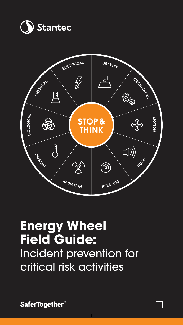



# **Energy Wheel Field Guide:**  Incident prevention for critical risk activities

SaferTogether<sup>"</sup>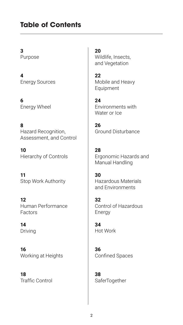## **Table of Contents**

**3** Purpose

**4** Energy Sources

**6** Energy Wheel

**8** Hazard Recognition, Assessment, and Control

**10** Hierarchy of Controls

**11** Stop Work Authority

**12** Human Performance Factors

**14** Driving

**16** Working at Heights

**18** Traffic Control

**20** Wildlife, Insects, and Vegetation

**22** Mobile and Heavy Equipment

**24** Environments with Water or Ice

**26** Ground Disturbance

**28** Ergonomic Hazards and Manual Handling

**30** Hazardous Materials and Environments

**32** Control of Hazardous Energy

**34** Hot Work

**36** Confined Spaces

**38 SaferTogether**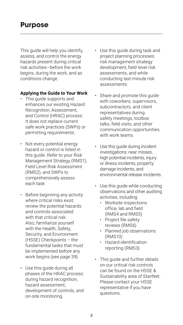This guide will help you identify, assess, and control the energy hazards present during critical risk activities—before the work begins, during the work, and as conditions change.

#### **Applying the Guide to Your Work**

- This guide supports and enhances our existing Hazard Recognition, Assessment, and Control (HRAC) process. It does not replace current safe work practices (SWPs) or permitting requirements.
- Not every potential energy hazard or control is listed in this guide. Refer to your Risk Management Strategy (RMS1), Field Level Risk Assessment (RMS2), and SWPs to comprehensively assess each task.
- Before beginning any activity where critical risks exist. review the potential hazards and controls associated with that critical risk. Also, familiarize yourself with the Health, Safety, Security, and Environment (HSSE) Checkpoints – the fundamental tasks that must be implemented before any work begins (see page 39).
- Use this guide during all phases of the HRAC process: during hazard recognition. hazard assessment, development of controls, and on-site monitoring.
- Use this guide during task and project planning processes: risk management strategy development, field-level risk assessments, and while conducting last-minute risk assessments.
- Share and promote this guide with coworkers, supervisors, subcontractors, and client representatives during safety meetings, toolbox talks, field visits, and other communication opportunities with work teams.
- Use this guide during incident investigations: near misses, high potential incidents, injury or illness incidents, property damage incidents, and environmental release incidents.
- Use this guide while conducting observations and other auditing activities, including:
	- Worksite inspections: office, lab and field (RMS4 and RMS5)
	- Project file safety reviews (RMS6)
	- Planned job observations (RMS10)
	- Hazard identification reporting (RMS3)
- This guide and further details on our critical risk controls can be found on the HSSE & Sustainability area of StanNet. Please contact your HSSE representative if you have questions.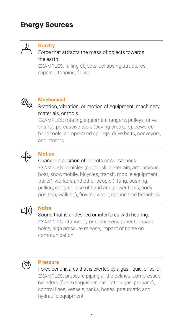## **Energy Sources**



### **Gravity**

#### Force that attracts the mass of objects towards the earth.

EXAMPLES: falling objects, collapsing structures, slipping, tripping, falling



#### **Mechanical**

Rotation, vibration, or motion of equipment, machinery, materials, or tools.

EXAMPLES: rotating equipment (augers, pulleys, drive shafts), percussive tools (paving breakers), powered hand tools, compressed springs, drive belts, conveyors, and motors



#### **Motion**

#### Change in position of objects or substances.

EXAMPLES: vehicles (car, truck, all-terrain, amphibious, boat, snowmobile, bicycles, transit, mobile equipment, trailer), workers and other people (lifting, pushing, pulling, carrying, use of hand and power tools, body position, walking), flowing water, sprung tree branches



#### **Noise**

#### Sound that is undesired or interferes with hearing.

EXAMPLES: stationary or mobile equipment, impact noise, high pressure release, impact of noise on communication



#### **Pressure**

Force per unit area that is exerted by a gas, liquid, or solid. EXAMPLES: pressure piping and pipelines, compressed cylinders (fire extinguisher, calibration gas, propane), control lines, vessels, tanks, hoses, pneumatic and hydraulic equipment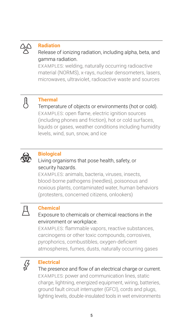

#### **Radiation**

#### Release of ionizing radiation, including alpha, beta, and gamma radiation.

EXAMPLES: welding, naturally occurring radioactive material (NORMS), x-rays, nuclear densometers, lasers, microwaves, ultraviolet, radioactive waste and sources

# A

#### **Thermal**

Temperature of objects or environments (hot or cold). EXAMPLES: open flame, electric ignition sources (including phones and friction), hot or cold surfaces, liquids or gases, weather conditions including humidity levels, wind, sun, snow, and ice



#### **Biological**

#### Living organisms that pose health, safety, or security hazards.

EXAMPLES: animals, bacteria, viruses, insects, blood-borne pathogens (needles), poisonous and noxious plants, contaminated water, human behaviors (protesters, concerned citizens, onlookers)



#### **Chemical**

#### Exposure to chemicals or chemical reactions in the environment or workplace.

EXAMPLES: flammable vapors, reactive substances, carcinogens or other toxic compounds, corrosives, pyrophorics, combustibles, oxygen-deficient atmospheres, fumes, dusts, naturally occurring gases



#### **Electrical**

The presence and flow of an electrical charge or current. EXAMPLES: power and communication lines, static charge, lightning, energized equipment, wiring, batteries, ground fault circuit interrupter (GFCI), cords and plugs, lighting levels, double-insulated tools in wet environments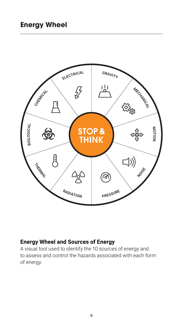

#### **Energy Wheel and Sources of Energy**

A visual tool used to identify the 10 sources of energy and to assess and control the hazards associated with each form of energy.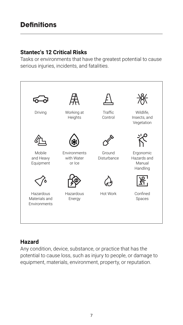## **Definitions**

#### **Stantec's 12 Critical Risks**

Tasks or environments that have the greatest potential to cause serious injuries, incidents, and fatalities.



#### **Hazard**

Any condition, device, substance, or practice that has the potential to cause loss, such as injury to people, or damage to equipment, materials, environment, property, or reputation.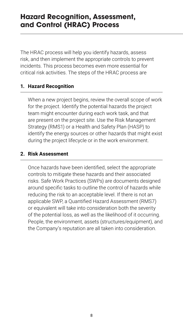## **Hazard Recognition, Assessment, and Control (HRAC) Process**

The HRAC process will help you identify hazards, assess risk, and then implement the appropriate controls to prevent incidents. This process becomes even more essential for critical risk activities. The steps of the HRAC process are

#### **1. Hazard Recognition**

When a new project begins, review the overall scope of work for the project. Identify the potential hazards the project team might encounter during each work task, and that are present on the project site. Use the Risk Management Strategy (RMS1) or a Health and Safety Plan (HASP) to identify the energy sources or other hazards that might exist during the project lifecycle or in the work environment.

#### **2. Risk Assessment**

Once hazards have been identified, select the appropriate controls to mitigate these hazards and their associated risks. Safe Work Practices (SWPs) are documents designed around specific tasks to outline the control of hazards while reducing the risk to an acceptable level. If there is not an applicable SWP, a Quantified Hazard Assessment (RMS7) or equivalent will take into consideration both the severity of the potential loss, as well as the likelihood of it occurring. People, the environment, assets (structures/equipment), and the Company's reputation are all taken into consideration.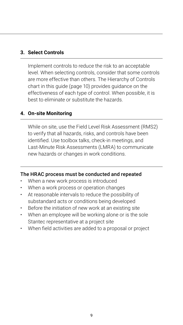#### **3. Select Controls**

Implement controls to reduce the risk to an acceptable level. When selecting controls, consider that some controls are more effective than others. The Hierarchy of Controls chart in this guide (page 10) provides guidance on the effectiveness of each type of control. When possible, it is best to eliminate or substitute the hazards.

#### **4. On-site Monitoring**

While on site, use the Field Level Risk Assessment (RMS2) to verify that all hazards, risks, and controls have been identified. Use toolbox talks, check-in meetings, and Last-Minute Risk Assessments (LMRA) to communicate new hazards or changes in work conditions.

#### The HRAC process must be conducted and repeated

- When a new work process is introduced
- When a work process or operation changes
- At reasonable intervals to reduce the possibility of substandard acts or conditions being developed
- Before the initiation of new work at an existing site
- When an employee will be working alone or is the sole Stantec representative at a project site
- When field activities are added to a proposal or project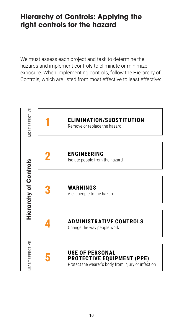## **Hierarchy of Controls: Applying the right controls for the hazard**

We must assess each project and task to determine the hazards and implement controls to eliminate or minimize exposure. When implementing controls, follow the Hierarchy of Controls, which are listed from most effective to least effective:

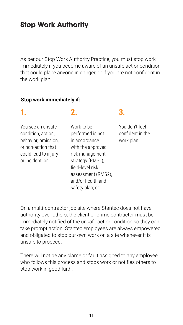As per our Stop Work Authority Practice, you must stop work immediately if you become aware of an unsafe act or condition that could place anyone in danger, or if you are not confident in the work plan.

#### **Stop work immediately if:**

| You see an unsafe<br>condition, action,<br>behavior, omission,<br>or non-action that<br>could lead to injury<br>or incident; or | Work to be<br>performed is not<br>in accordance<br>with the approved<br>risk management<br>strategy (RMS1),<br>field-level risk<br>assessment (RMS2),<br>and/or health and<br>safety plan; or | You don't feel<br>confident in the<br>work plan. |
|---------------------------------------------------------------------------------------------------------------------------------|-----------------------------------------------------------------------------------------------------------------------------------------------------------------------------------------------|--------------------------------------------------|
|                                                                                                                                 |                                                                                                                                                                                               |                                                  |

On a multi-contractor job site where Stantec does not have authority over others, the client or prime contractor must be immediately notified of the unsafe act or condition so they can take prompt action. Stantec employees are always empowered and obligated to stop our own work on a site whenever it is unsafe to proceed.

There will not be any blame or fault assigned to any employee who follows this process and stops work or notifies others to stop work in good faith.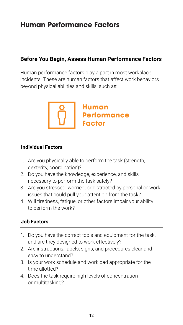#### **Before You Begin, Assess Human Performance Factors**

Human performance factors play a part in most workplace incidents. These are human factors that affect work behaviors beyond physical abilities and skills, such as:



#### **Individual Factors**

- 1. Are you physically able to perform the task (strength, dexterity, coordination)?
- 2. Do you have the knowledge, experience, and skills necessary to perform the task safely?
- 3. Are you stressed, worried, or distracted by personal or work issues that could pull your attention from the task?
- 4. Will tiredness, fatigue, or other factors impair your ability to perform the work?

#### **Job Factors**

- 1. Do you have the correct tools and equipment for the task, and are they designed to work effectively?
- 2. Are instructions, labels, signs, and procedures clear and easy to understand?
- 3. Is your work schedule and workload appropriate for the time allotted?
- 4. Does the task require high levels of concentration or multitasking?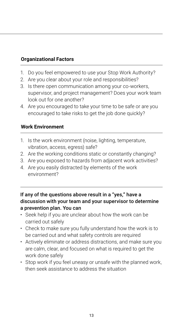#### **Organizational Factors**

- 1. Do you feel empowered to use your Stop Work Authority?
- 2. Are you clear about your role and responsibilities?
- 3. Is there open communication among your co-workers, supervisor, and project management? Does your work team look out for one another?
- 4. Are you encouraged to take your time to be safe or are you encouraged to take risks to get the job done quickly?

#### **Work Environment**

- 1. Is the work environment (noise, lighting, temperature, vibration, access, egress) safe?
- 2. Are the working conditions static or constantly changing?
- 3. Are you exposed to hazards from adjacent work activities?
- 4. Are you easily distracted by elements of the work environment?
- If any of the questions above result in a "yes," have a discussion with your team and your supervisor to determine a prevention plan. You can
- Seek help if you are unclear about how the work can be carried out safely
- Check to make sure you fully understand how the work is to be carried out and what safety controls are required
- Actively eliminate or address distractions, and make sure you are calm, clear, and focused on what is required to get the work done safely
- Stop work if you feel uneasy or unsafe with the planned work, then seek assistance to address the situation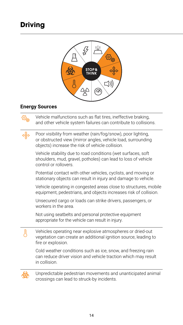## **Driving**



#### **Energy Sources**

Vehicle malfunctions such as flat tires, ineffective braking, and other vehicle system failures can contribute to collisions.

Poor visibility from weather (rain/fog/snow), poor lighting, or obstructed view (mirror angles, vehicle load, surrounding objects) increase the risk of vehicle collision.

Vehicle stability due to road conditions (wet surfaces, soft shoulders, mud, gravel, potholes) can lead to loss of vehicle control or rollovers.

Potential contact with other vehicles, cyclists, and moving or stationary objects can result in injury and damage to vehicle.

Vehicle operating in congested areas close to structures, mobile equipment, pedestrians, and objects increases risk of collision.

Unsecured cargo or loads can strike drivers, passengers, or workers in the area.

Not using seatbelts and personal protective equipment appropriate for the vehicle can result in injury.

Vehicles operating near explosive atmospheres or dried-out vegetation can create an additional ignition source, leading to fire or explosion.

Cold weather conditions such as ice, snow, and freezing rain can reduce driver vision and vehicle traction which may result in collision.



貝

Unpredictable pedestrian movements and unanticipated animal crossings can lead to struck-by incidents.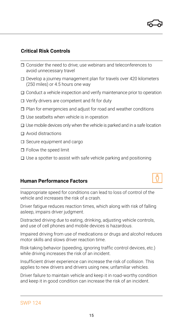- □ Consider the need to drive; use webinars and teleconferences to avoid unnecessary travel
- $\Box$  Develop a journey management plan for travels over 420 kilometers (250 miles) or 4.5 hours one way
- $\Box$  Conduct a vehicle inspection and verify maintenance prior to operation
- $\Box$  Verify drivers are competent and fit for duty
- Plan for emergencies and adjust for road and weather conditions
- $\square$  Use seatbelts when vehicle is in operation
- $\Box$  Use mobile devices only when the vehicle is parked and in a safe location
- □ Avoid distractions
- $\square$  Secure equipment and cargo
- □ Follow the speed limit
- $\Box$  Use a spotter to assist with safe vehicle parking and positioning

#### **Human Performance Factors**

Inappropriate speed for conditions can lead to loss of control of the vehicle and increases the risk of a crash.

Driver fatigue reduces reaction times, which along with risk of falling asleep, impairs driver judgment.

Distracted driving due to eating, drinking, adjusting vehicle controls, and use of cell phones and mobile devices is hazardous.

Impaired driving from use of medications or drugs and alcohol reduces motor skills and slows driver reaction time.

Risk-taking behavior (speeding, ignoring traffic control devices, etc.) while driving increases the risk of an incident.

Insufficient driver experience can increase the risk of collision. This applies to new drivers and drivers using new, unfamiliar vehicles.

Driver failure to maintain vehicle and keep it in road-worthy condition and keep it in good condition can increase the risk of an incident.

15

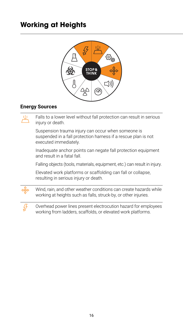## **Working at Heights**



#### **Energy Sources**

للحل

Falls to a lower level without fall protection can result in serious injury or death.

Suspension trauma injury can occur when someone is suspended in a fall protection harness if a rescue plan is not executed immediately.

Inadequate anchor points can negate fall protection equipment and result in a fatal fall.

Falling objects (tools, materials, equipment, etc.) can result in injury.

Elevated work platforms or scaffolding can fall or collapse, resulting in serious injury or death.

Wind, rain, and other weather conditions can create hazards while working at heights such as falls, struck-by, or other injuries.



Overhead power lines present electrocution hazard for employees working from ladders, scaffolds, or elevated work platforms.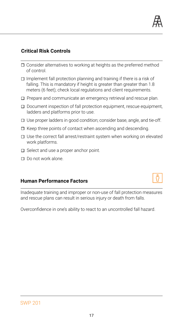

- $\Box$  Consider alternatives to working at heights as the preferred method of control.
- $\Box$  Implement fall protection planning and training if there is a risk of falling. This is mandatory if height is greater than greater than 1.8 meters (6 feet); check local regulations and client requirements.
- $\square$  Prepare and communicate an emergency retrieval and rescue plan.
- $\Box$  Document inspection of fall protection equipment, rescue equipment, ladders and platforms prior to use.
- $\Box$  Use proper ladders in good condition; consider base, angle, and tie-off.
- $\Box$  Keep three points of contact when ascending and descending.
- $\square$  Use the correct fall arrest/restraint system when working on elevated work platforms.
- $\Box$  Select and use a proper anchor point.
- □ Do not work alone.

#### **Human Performance Factors**



Inadequate training and improper or non-use of fall protection measures and rescue plans can result in serious injury or death from falls.

Overconfidence in one's ability to react to an uncontrolled fall hazard.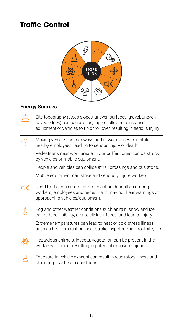## **Traffic Control**



#### **Energy Sources**

| Site topography (steep slopes, uneven surfaces, gravel, uneven<br>paved edges) can cause slips, trip, or falls and can cause<br>equipment or vehicles to tip or roll over, resulting in serious injury. |
|---------------------------------------------------------------------------------------------------------------------------------------------------------------------------------------------------------|
| Moving vehicles on roadways and in work zones can strike<br>nearby employees, leading to serious injury or death.                                                                                       |
| Pedestrians near work area entry or buffer zones can be struck<br>by vehicles or mobile equipment.                                                                                                      |
| People and vehicles can collide at rail crossings and bus stops.                                                                                                                                        |
| Mobile equipment can strike and seriously injure workers.                                                                                                                                               |
| Road traffic can create communication difficulties among<br>workers; employees and pedestrians may not hear warnings or<br>approaching vehicles/equipment.                                              |
| Fog and other weather conditions such as rain, snow and ice<br>can reduce visibility, create slick surfaces, and lead to injury.                                                                        |
| Extreme temperatures can lead to heat or cold stress illness<br>such as heat exhaustion, heat stroke, hypothermia, frostbite, etc.                                                                      |
| Hazardous animals, insects, vegetation can be present in the<br>work environment resulting in potential exposure injuries.                                                                              |
| Exposure to vehicle exhaust can result in respiratory illness and<br>other negative health conditions.                                                                                                  |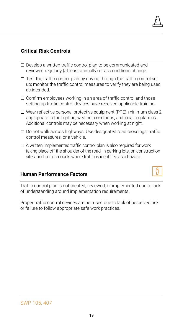- $\square$  Develop a written traffic control plan to be communicated and reviewed regularly (at least annually) or as conditions change.
- $\Box$  Test the traffic control plan by driving through the traffic control set up; monitor the traffic control measures to verify they are being used as intended.
- $\Box$  Confirm employees working in an area of traffic control and those setting up traffic control devices have received applicable training.
- $\Box$  Wear reflective personal protective equipment (PPE), minimum class 2, appropriate to the lighting, weather conditions, and local regulations. Additional controls may be necessary when working at night.
- $\square$  Do not walk across highways. Use designated road crossings, traffic control measures, or a vehicle.
- $\Box$  A written, implemented traffic control plan is also required for work taking place off the shoulder of the road, in parking lots, on construction sites, and on forecourts where traffic is identified as a hazard.

#### **Human Performance Factors**

Traffic control plan is not created, reviewed, or implemented due to lack of understanding around implementation requirements.

Proper traffic control devices are not used due to lack of perceived risk or failure to follow appropriate safe work practices.

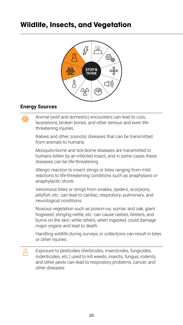## **Wildlife, Insects, and Vegetation**



#### **Energy Sources**

Animal (wild and domestic) encounters can lead to cuts, lacerations, broken bones, and other serious and even lifethreatening injuries.

Rabies and other zoonotic diseases that can be transmitted from animals to humans.

Mosquito-borne and tick-borne diseases are transmitted to humans bitten by an infected insect, and in some cases these diseases can be life-threatening.

Allergic reaction to insect stings or bites ranging from mild reactions to life-threatening conditions such as anaphylaxis or anaphylactic shock.

Venomous bites or stings from snakes, spiders, scorpions, jellyfish, etc. can lead to cardiac, respiratory, pulmonary, and neurological conditions.

Noxious vegetation such as poison ivy, sumac and oak, giant hogweed, stinging nettle, etc. can cause rashes, blisters, and burns on the skin, while others, when ingested, could damage major organs and lead to death.

Handling wildlife during surveys or collections can result in bites or other injuries.

且 Exposure to pesticides (herbicides, insecticides, fungicides, rodenticides, etc.) used to kill weeds, insects, fungus, rodents, and other pests can lead to respiratory problems, cancer, and other diseases.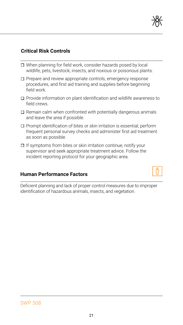

- □ When planning for field work, consider hazards posed by local wildlife, pets, livestock, insects, and noxious or poisonous plants.
- $\Box$  Prepare and review appropriate controls, emergency response procedures, and first aid training and supplies before beginning field work.
- $\square$  Provide information on plant identification and wildlife awareness to field crews.
- $\Box$  Remain calm when confronted with potentially dangerous animals and leave the area if possible.
- □ Prompt identification of bites or skin irritation is essential; perform frequent personal survey checks and administer first aid treatment as soon as possible.
- $\Box$  If symptoms from bites or skin irritation continue, notify your supervisor and seek appropriate treatment advice. Follow the incident reporting protocol for your geographic area.

#### **Human Performance Factors**

Deficient planning and lack of proper control measures due to improper identification of hazardous animals, insects, and vegetation.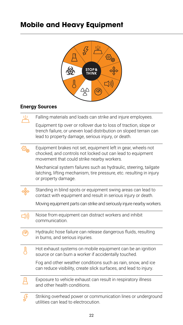## **Mobile and Heavy Equipment**



#### **Energy Sources**

|     | Falling materials and loads can strike and injure employees.                                                                                                                                |
|-----|---------------------------------------------------------------------------------------------------------------------------------------------------------------------------------------------|
|     | Equipment tip over or rollover due to loss of traction, slope or<br>trench failure, or uneven load distribution on sloped terrain can<br>lead to property damage, serious injury, or death. |
|     | Equipment brakes not set, equipment left in gear, wheels not<br>chocked, and controls not locked out can lead to equipment<br>movement that could strike nearby workers.                    |
|     | Mechanical system failures such as hydraulic, steering, tailgate<br>latching, lifting mechanism, tire pressure, etc. resulting in injury<br>or property damage.                             |
|     | Standing in blind spots or equipment swing areas can lead to<br>contact with equipment and result in serious injury or death.                                                               |
|     | Moving equipment parts can strike and seriously injure nearby workers.                                                                                                                      |
| J)) | Noise from equipment can distract workers and inhibit<br>communication.                                                                                                                     |
|     | Hydraulic hose failure can release dangerous fluids, resulting<br>in burns, and serious injuries.                                                                                           |
| 凰   | Hot exhaust systems on mobile equipment can be an ignition<br>source or can burn a worker if accidentally touched.                                                                          |
|     | Fog and other weather conditions such as rain, snow, and ice<br>can reduce visibility, create slick surfaces, and lead to injury.                                                           |
|     | Exposure to vehicle exhaust can result in respiratory illness<br>and other health conditions.                                                                                               |
|     | Striking overhead power or communication lines or underground<br>utilities can lead to electrocution.                                                                                       |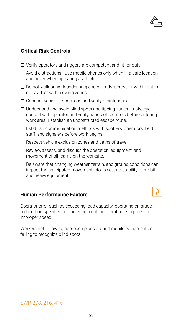

- $\Box$  Verify operators and riggers are competent and fit for duty.
- Avoid distractions—use mobile phones only when in a safe location, and never when operating a vehicle.
- $\Box$  Do not walk or work under suspended loads, across or within paths of travel, or within swing zones.
- $\Box$  Conduct vehicle inspections and verify maintenance.
- $\Box$  Understand and avoid blind spots and tipping zones—make eye contact with operator and verify hands-off controls before entering work area. Establish an unobstructed escape route.
- $\square$  Establish communication methods with spotters, operators, field staff, and signalers before work begins.
- $\Box$  Respect vehicle exclusion zones and paths of travel.
- $\Box$  Review, assess, and discuss the operation, equipment, and movement of all teams on the worksite.
- $\Box$  Be aware that changing weather, terrain, and ground conditions can impact the anticipated movement, stopping, and stability of mobile and heavy equipment.

#### **Human Performance Factors**

Operator error such as exceeding load capacity, operating on grade higher than specified for the equipment, or operating equipment at improper speed.

Workers not following approach plans around mobile equipment or failing to recognize blind spots.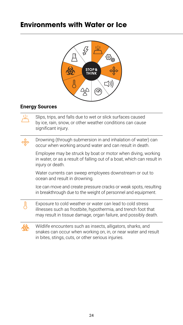## **Environments with Water or Ice**



#### **Energy Sources**

贞

Slips, trips, and falls due to wet or slick surfaces caused by ice, rain, snow, or other weather conditions can cause significant injury.

Drowning (through submersion in and inhalation of water) can occur when working around water and can result in death.

Employee may be struck by boat or motor when diving, working in water, or as a result of falling out of a boat, which can result in injury or death.

Water currents can sweep employees downstream or out to ocean and result in drowning.

Ice can move and create pressure cracks or weak spots, resulting in breakthrough due to the weight of personnel and equipment.

Exposure to cold weather or water can lead to cold stress illnesses such as frostbite, hypothermia, and trench foot that may result in tissue damage, organ failure, and possibly death.



頂

Wildlife encounters such as insects, alligators, sharks, and snakes can occur when working on, in, or near water and result in bites, stings, cuts, or other serious injuries.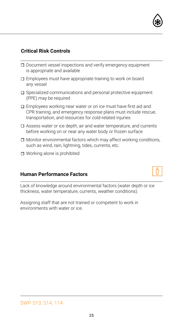

- $\square$  Document vessel inspections and verify emergency equipment is appropriate and available
- Employees must have appropriate training to work on board any vessel
- $\square$  Specialized communications and personal protective equipment (PPE) may be required
- $\square$  Employees working near water or on ice must have first aid and CPR training, and emergency response plans must include rescue, transportation, and resources for cold-related injuries
- $\Box$  Assess water or ice depth, air and water temperature, and currents before working on or near any water body or frozen surface
- $\Box$  Monitor environmental factors which may affect working conditions, such as wind, rain, lightning, tides, currents, etc.
- Working alone is prohibited

#### **Human Performance Factors**



Assigning staff that are not trained or competent to work in environments with water or ice.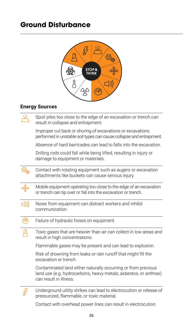## **Ground Disturbance**



#### **Energy Sources**

| Spoil piles too close to the edge of an excavation or trench can<br>result in collapse and entrapment.                                                      |
|-------------------------------------------------------------------------------------------------------------------------------------------------------------|
| Improper cut back or shoring of excavations or excavations<br>performed in unstable soil types can cause collapse and entrapment.                           |
| Absence of hard barricades can lead to falls into the excavation.                                                                                           |
| Drilling rods could fall while being lifted, resulting in injury or<br>damage to equipment or materials.                                                    |
| Contact with rotating equipment such as augers or excavation<br>attachments like buckets can cause serious injury.                                          |
| Mobile equipment operating too close to the edge of an excavation<br>or trench can tip over or fall into the excavation or trench.                          |
| Noise from equipment can distract workers and inhibit<br>communication.                                                                                     |
| Failure of hydraulic hoses on equipment.                                                                                                                    |
| Toxic gases that are heavier than air can collect in low areas and<br>result in high concentrations.                                                        |
| Flammable gases may be present and can lead to explosion.                                                                                                   |
| Risk of drowning from leaks or rain runoff that might fill the<br>excavation or trench.                                                                     |
| Contaminated land either naturally occurring or from previous<br>land use (e.g. hydrocarbons, heavy metals, asbestos, or anthrax)<br>can result in illness. |
| Underground utility strikes can lead to electrocution or release of<br>pressurized, flammable, or toxic material.                                           |

Contact with overhead power lines can result in electrocution.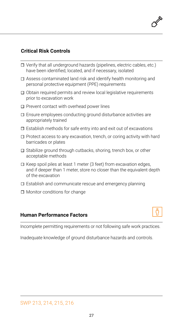- $\Box$  Verify that all underground hazards (pipelines, electric cables, etc.) have been identified, located, and if necessary, isolated
- Assess contaminated land risk and identify health monitoring and personal protective equipment (PPE) requirements
- $\Box$  Obtain required permits and review local legislative requirements prior to excavation work
- $\Box$  Prevent contact with overhead power lines
- $\square$  Ensure employees conducting ground disturbance activities are appropriately trained
- $\square$  Establish methods for safe entry into and exit out of excavations
- $\Box$  Protect access to any excavation, trench, or coring activity with hard barricades or plates
- $\Box$  Stabilize ground through cutbacks, shoring, trench box, or other acceptable methods
- $\Box$  Keep spoil piles at least 1 meter (3 feet) from excavation edges, and if deeper than 1 meter, store no closer than the equivalent depth of the excavation
- $\Box$  Establish and communicate rescue and emergency planning
- $\Box$  Monitor conditions for change

#### **Human Performance Factors**

Incomplete permitting requirements or not following safe work practices.

Inadequate knowledge of ground disturbance hazards and controls.

#### SWP 213, 214, 215, 216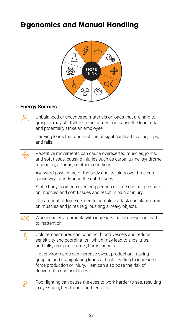## **Ergonomics and Manual Handling**



#### **Energy Sources**

Д

齿 Unbalanced or uncentered materials or loads that are hard to grasp or may shift while being carried can cause the load to fall and potentially strike an employee.

Carrying loads that obstruct line of sight can lead to slips, trips, and falls.

Repetitive movements can cause overexerted muscles, joints, and soft tissue, causing injuries such as carpal tunnel syndrome, tendonitis, arthritis, or other conditions.

Awkward positioning of the body and its joints over time can cause wear and tear on the soft tissues.

Static body positions over long periods of time can put pressure on muscles and soft tissues and result in pain or injury.

The amount of force needed to complete a task can place strain on muscles and joints (e.g. pushing a heavy object).

 $\Box$ Working in environments with increased noise stress can lead to inattention.

Cold temperatures can constrict blood vessels and reduce sensitivity and coordination, which may lead to slips, trips, and falls, dropped objects, burns, or cuts.

Hot environments can increase sweat production, making gripping and manipulating loads difficult, leading to increased force production or injury. Heat can also pose the risk of dehydration and heat illness.

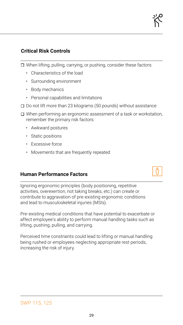$\Box$  When lifting, pulling, carrying, or pushing, consider these factors:

- Characteristics of the load
- Surrounding environment
- Body mechanics
- Personal capabilities and limitations
- $\square$  Do not lift more than 23 kilograms (50 pounds) without assistance
- $\Box$  When performing an ergonomic assessment of a task or workstation, remember the primary risk factors:
	- Awkward postures
	- Static positions
	- Excessive force
	- Movements that are frequently repeated

#### **Human Performance Factors**

Ignoring ergonomic principles (body positioning, repetitive activities, overexertion, not taking breaks, etc.) can create or contribute to aggravation of pre-existing ergonomic conditions and lead to musculoskeletal injuries (MSIs).

Pre-existing medical conditions that have potential to exacerbate or affect employee's ability to perform manual handling tasks such as lifting, pushing, pulling, and carrying.

Perceived time constraints could lead to lifting or manual handling being rushed or employees neglecting appropriate rest periods, increasing the risk of injury.

#### SWP 115, 125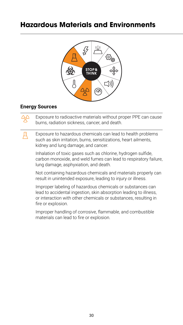## **Hazardous Materials and Environments**



#### **Energy Sources**

녀

Exposure to radioactive materials without proper PPE can cause burns, radiation sickness, cancer, and death.

Exposure to hazardous chemicals can lead to health problems such as skin irritation, burns, sensitizations, heart ailments, kidney and lung damage, and cancer.

Inhalation of toxic gases such as chlorine, hydrogen sulfide, carbon monoxide, and weld fumes can lead to respiratory failure, lung damage, asphyxiation, and death.

Not containing hazardous chemicals and materials properly can result in unintended exposure, leading to injury or illness.

Improper labeling of hazardous chemicals or substances can lead to accidental ingestion, skin absorption leading to illness, or interaction with other chemicals or substances, resulting in fire or explosion.

Improper handling of corrosive, flammable, and combustible materials can lead to fire or explosion.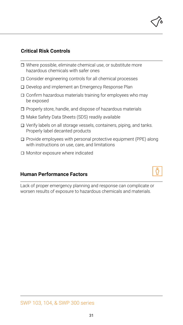

- $\Box$  Where possible, eliminate chemical use, or substitute more hazardous chemicals with safer ones
- $\Box$  Consider engineering controls for all chemical processes
- □ Develop and implement an Emergency Response Plan
- $\Box$  Confirm hazardous materials training for employees who may be exposed
- $\Box$  Properly store, handle, and dispose of hazardous materials
- □ Make Safety Data Sheets (SDS) readily available
- $\Box$  Verify labels on all storage vessels, containers, piping, and tanks. Properly label decanted products
- $\square$  Provide employees with personal protective equipment (PPE) along with instructions on use, care, and limitations
- □ Monitor exposure where indicated

#### **Human Performance Factors**

Lack of proper emergency planning and response can complicate or worsen results of exposure to hazardous chemicals and materials.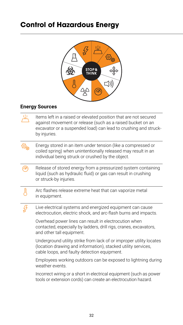## **Control of Hazardous Energy**



#### **Energy Sources**

|    | Items left in a raised or elevated position that are not secured<br>against movement or release (such as a raised bucket on an<br>excavator or a suspended load) can lead to crushing and struck-<br>by injuries. |
|----|-------------------------------------------------------------------------------------------------------------------------------------------------------------------------------------------------------------------|
|    | Energy stored in an item under tension (like a compressed or<br>coiled spring) when unintentionally released may result in an<br>individual being struck or crushed by the object.                                |
| 'അ | Release of stored energy from a pressurized system containing<br>liquid (such as hydraulic fluid) or gas can result in crushing<br>or struck-by injuries.                                                         |
|    | Arc flashes release extreme heat that can vaporize metal<br>in equipment.                                                                                                                                         |
|    | Live electrical systems and energized equipment can cause<br>electrocution, electric shock, and arc-flash burns and impacts.                                                                                      |
|    | Overhead power lines can result in electrocution when<br>contacted, especially by ladders, drill rigs, cranes, excavators,<br>and other tall equipment.                                                           |
|    | Underground utility strike from lack of or improper utility locates<br>(location drawing and information), stacked utility services,<br>cable loops, and faulty detection equipment.                              |
|    | Employees working outdoors can be exposed to lightning during<br>weather events.                                                                                                                                  |
|    | Incorrect wiring or a short in electrical equipment (such as power<br>tools or extension cords) can create an electrocution hazard.                                                                               |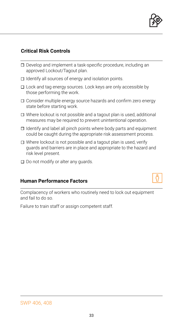

- □ Develop and implement a task-specific procedure, including an approved Lockout/Tagout plan.
- $\Box$  Identify all sources of energy and isolation points.
- $\square$  Lock and tag energy sources. Lock keys are only accessible by those performing the work.
- $\square$  Consider multiple energy source hazards and confirm zero energy state before starting work.
- $\Box$  Where lockout is not possible and a tagout plan is used, additional measures may be required to prevent unintentional operation.
- $\Box$  Identify and label all pinch points where body parts and equipment could be caught during the appropriate risk assessment process.
- $\Box$  Where lockout is not possible and a tagout plan is used, verify guards and barriers are in place and appropriate to the hazard and risk level present.
- $\square$  Do not modify or alter any guards.

#### **Human Performance Factors**



Complacency of workers who routinely need to lock out equipment and fail to do so.

Failure to train staff or assign competent staff.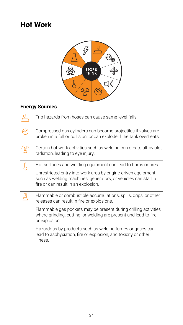## **Hot Work**



#### **Energy Sources**

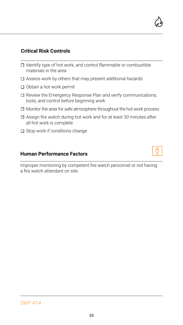- $\Box$  Identify type of hot work, and control flammable or combustible materials in the area
- Assess work by others that may present additional hazards
- □ Obtain a hot work permit
- Review the Emergency Response Plan and verify communications, tools, and control before beginning work
- $\Box$  Monitor the area for safe atmosphere throughout the hot work process
- $\Box$  Assign fire watch during hot work and for at least 30 minutes after all hot work is complete
- $\Box$  Stop work if conditions change

#### **Human Performance Factors**

Improper monitoring by competent fire watch personnel or not having a fire watch attendant on site.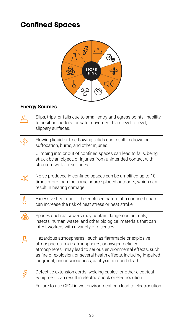## **Confined Spaces**



#### **Energy Sources**

| Slips, trips, or falls due to small entry and egress points; inability<br>to position ladders for safe movement from level to level;<br>slippery surfaces.                                                                                                                                               |
|----------------------------------------------------------------------------------------------------------------------------------------------------------------------------------------------------------------------------------------------------------------------------------------------------------|
| Flowing liquid or free-flowing solids can result in drowning,<br>suffocation, burns, and other injuries.                                                                                                                                                                                                 |
| Climbing into or out of confined spaces can lead to falls, being<br>struck by an object, or injuries from unintended contact with<br>structure walls or surfaces.                                                                                                                                        |
| Noise produced in confined spaces can be amplified up to 10<br>times more than the same source placed outdoors, which can<br>result in hearing damage.                                                                                                                                                   |
| Excessive heat due to the enclosed nature of a confined space<br>can increase the risk of heat stress or heat stroke.                                                                                                                                                                                    |
| Spaces such as sewers may contain dangerous animals,<br>insects, human waste, and other biological materials that can<br>infect workers with a variety of diseases.                                                                                                                                      |
| Hazardous atmospheres-such as flammable or explosive<br>atmospheres, toxic atmospheres, or oxygen-deficient<br>atmospheres-may lead to serious environmental effects, such<br>as fire or explosion, or several health effects, including impaired<br>judgment, unconsciousness, asphyxiation, and death. |
| Defective extension cords, welding cables, or other electrical<br>equipment can result in electric shock or electrocution.                                                                                                                                                                               |
| Failure to use GFCI in wet environment can lead to electrocution.                                                                                                                                                                                                                                        |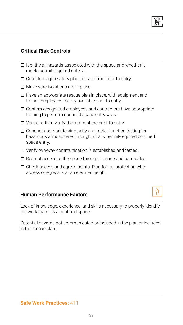37

#### **Critical Risk Controls**

- $\Box$  Identify all hazards associated with the space and whether it meets permit-required criteria.
- $\Box$  Complete a job safety plan and a permit prior to entry.
- $\Box$  Make sure isolations are in place.
- $\Box$  Have an appropriate rescue plan in place, with equipment and trained employees readily available prior to entry.
- $\Box$  Confirm designated employees and contractors have appropriate training to perform confined space entry work.
- $\Box$  Vent and then verify the atmosphere prior to entry.
- $\Box$  Conduct appropriate air quality and meter function testing for hazardous atmospheres throughout any permit-required confined space entry.
- $\Box$  Verify two-way communication is established and tested.
- $\Box$  Restrict access to the space through signage and barricades.
- $\square$  Check access and egress points. Plan for fall protection when access or egress is at an elevated height.

#### **Human Performance Factors**

Lack of knowledge, experience, and skills necessary to properly identify the workspace as a confined space.

Potential hazards not communicated or included in the plan or included in the rescue plan.





**Safe Work Practices:** 411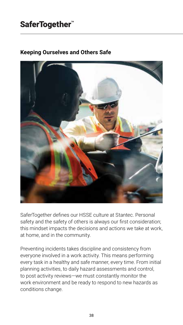## SaferTogether<sup>"</sup>

#### **Keeping Ourselves and Others Safe**



SaferTogether defines our HSSE culture at Stantec. Personal safety and the safety of others is always our first consideration; this mindset impacts the decisions and actions we take at work, at home, and in the community.

Preventing incidents takes discipline and consistency from everyone involved in a work activity. This means performing every task in a healthy and safe manner, every time. From initial planning activities, to daily hazard assessments and control, to post activity reviews—we must constantly monitor the work environment and be ready to respond to new hazards as conditions change.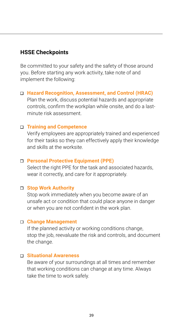#### **HSSE Checkpoints**

Be committed to your safety and the safety of those around you. Before starting any work activity, take note of and implement the following:

 **Hazard Recognition, Assessment, and Control (HRAC)** Plan the work, discuss potential hazards and appropriate controls, confirm the workplan while onsite, and do a lastminute risk assessment.

#### **Training and Competence**

Verify employees are appropriately trained and experienced for their tasks so they can effectively apply their knowledge and skills at the worksite.

#### **Personal Protective Equipment (PPE)**

Select the right PPE for the task and associated hazards, wear it correctly, and care for it appropriately.

#### **Stop Work Authority**

Stop work immediately when you become aware of an unsafe act or condition that could place anyone in danger or when you are not confident in the work plan.

#### **Change Management**

If the planned activity or working conditions change, stop the job, reevaluate the risk and controls, and document the change.

#### **Situational Awareness**

Be aware of your surroundings at all times and remember that working conditions can change at any time. Always take the time to work safely.